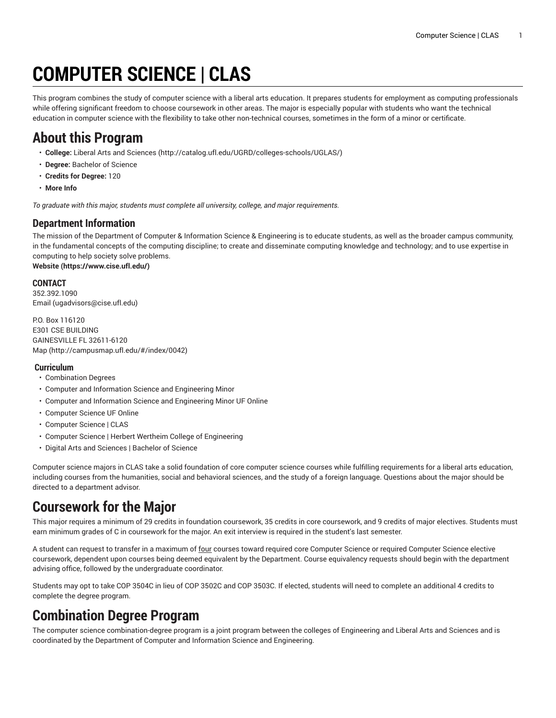# **COMPUTER SCIENCE | CLAS**

This program combines the study of computer science with a liberal arts education. It prepares students for employment as computing professionals while offering significant freedom to choose coursework in other areas. The major is especially popular with students who want the technical education in computer science with the flexibility to take other non-technical courses, sometimes in the form of a minor or certificate.

## **About this Program**

- **College:** Liberal Arts and [Sciences](http://catalog.ufl.edu/UGRD/colleges-schools/UGLAS/) ([http://catalog.ufl.edu/UGRD/colleges-schools/UGLAS/\)](http://catalog.ufl.edu/UGRD/colleges-schools/UGLAS/)
- **Degree:** Bachelor of Science
- **Credits for Degree:** 120
- **More Info**

*To graduate with this major, students must complete all university, college, and major requirements.*

#### **Department Information**

The mission of the Department of Computer & Information Science & Engineering is to educate students, as well as the broader campus community, in the fundamental concepts of the computing discipline; to create and disseminate computing knowledge and technology; and to use expertise in computing to help society solve problems.

**[Website](https://www.cise.ufl.edu/) (<https://www.cise.ufl.edu/>)**

#### **CONTACT**

352.392.1090 [Email](mailto:ugadvisors@cise.ufl.edu) (<ugadvisors@cise.ufl.edu>)

P.O. Box 116120 E301 CSE BUILDING GAINESVILLE FL 32611-6120 [Map](http://campusmap.ufl.edu/#/index/0042) ([http://campusmap.ufl.edu/#/index/0042\)](http://campusmap.ufl.edu/#/index/0042)

#### **Curriculum**

- Combination Degrees
- Computer and Information Science and Engineering Minor
- Computer and Information Science and Engineering Minor UF Online
- Computer Science UF Online
- Computer Science | CLAS
- Computer Science | Herbert Wertheim College of Engineering
- Digital Arts and Sciences | Bachelor of Science

Computer science majors in CLAS take a solid foundation of core computer science courses while fulfilling requirements for a liberal arts education, including courses from the humanities, social and behavioral sciences, and the study of a foreign language. Questions about the major should be directed to a department advisor.

# **Coursework for the Major**

This major requires a minimum of 29 credits in foundation coursework, 35 credits in core coursework, and 9 credits of major electives. Students must earn minimum grades of C in coursework for the major. An exit interview is required in the student's last semester.

A student can request to transfer in a maximum of four courses toward required core Computer Science or required Computer Science elective coursework, dependent upon courses being deemed equivalent by the Department. Course equivalency requests should begin with the department advising office, followed by the undergraduate coordinator.

Students may opt to take COP 3504C in lieu of COP 3502C and COP 3503C. If elected, students will need to complete an additional 4 credits to complete the degree program.

# **Combination Degree Program**

The computer science combination-degree program is a joint program between the colleges of Engineering and Liberal Arts and Sciences and is coordinated by the Department of Computer and Information Science and Engineering.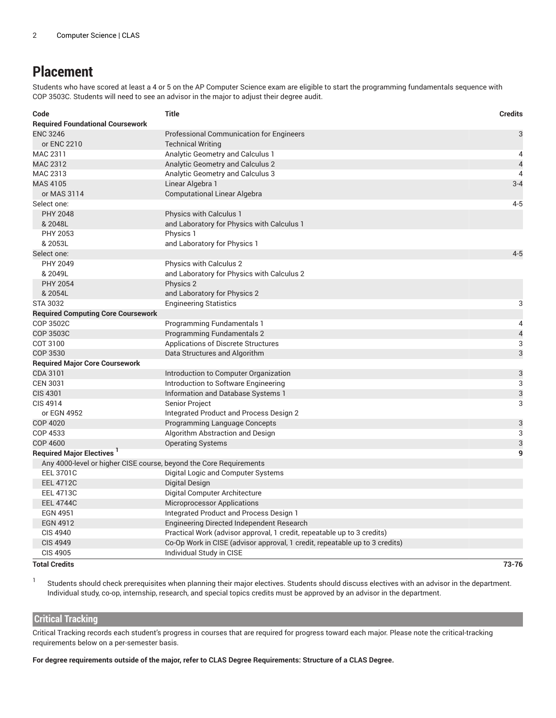### **Placement**

Students who have scored at least a 4 or 5 on the AP Computer Science exam are eligible to start the programming fundamentals sequence with COP 3503C. Students will need to see an advisor in the major to adjust their degree audit.

| Code                                                               | <b>Title</b>                                                                | <b>Credits</b> |
|--------------------------------------------------------------------|-----------------------------------------------------------------------------|----------------|
| <b>Required Foundational Coursework</b>                            |                                                                             |                |
| <b>ENC 3246</b>                                                    | <b>Professional Communication for Engineers</b>                             | 3              |
| or ENC 2210                                                        | <b>Technical Writing</b>                                                    |                |
| MAC 2311                                                           | Analytic Geometry and Calculus 1                                            | 4              |
| MAC 2312                                                           | <b>Analytic Geometry and Calculus 2</b>                                     | $\overline{4}$ |
| MAC 2313                                                           | Analytic Geometry and Calculus 3                                            | $\overline{4}$ |
| MAS 4105                                                           | Linear Algebra 1                                                            | $3 - 4$        |
| or MAS 3114                                                        | <b>Computational Linear Algebra</b>                                         |                |
| Select one:                                                        |                                                                             | $4 - 5$        |
| <b>PHY 2048</b>                                                    | <b>Physics with Calculus 1</b>                                              |                |
| & 2048L                                                            | and Laboratory for Physics with Calculus 1                                  |                |
| PHY 2053                                                           | Physics 1                                                                   |                |
| & 2053L                                                            | and Laboratory for Physics 1                                                |                |
| Select one:                                                        |                                                                             | $4 - 5$        |
| PHY 2049                                                           | <b>Physics with Calculus 2</b>                                              |                |
| & 2049L                                                            | and Laboratory for Physics with Calculus 2                                  |                |
| <b>PHY 2054</b>                                                    | Physics 2                                                                   |                |
| & 2054L                                                            | and Laboratory for Physics 2                                                |                |
| <b>STA 3032</b>                                                    | <b>Engineering Statistics</b>                                               | 3              |
| <b>Required Computing Core Coursework</b>                          |                                                                             |                |
| COP 3502C                                                          | <b>Programming Fundamentals 1</b>                                           | 4              |
| <b>COP 3503C</b>                                                   | <b>Programming Fundamentals 2</b>                                           | $\overline{a}$ |
| COT 3100                                                           | <b>Applications of Discrete Structures</b>                                  | 3              |
| COP 3530                                                           | Data Structures and Algorithm                                               | 3              |
| <b>Required Major Core Coursework</b>                              |                                                                             |                |
| CDA 3101                                                           | Introduction to Computer Organization                                       | 3              |
| <b>CEN 3031</b>                                                    | Introduction to Software Engineering                                        | 3              |
| CIS 4301                                                           | Information and Database Systems 1                                          | 3              |
| CIS 4914                                                           | Senior Project                                                              | 3              |
| or EGN 4952                                                        | Integrated Product and Process Design 2                                     |                |
| <b>COP 4020</b>                                                    | Programming Language Concepts                                               | 3              |
| COP 4533                                                           | Algorithm Abstraction and Design                                            | 3              |
| <b>COP 4600</b>                                                    | <b>Operating Systems</b>                                                    | 3              |
| <b>Required Major Electives</b>                                    |                                                                             | 9              |
| Any 4000-level or higher CISE course, beyond the Core Requirements |                                                                             |                |
| <b>EEL 3701C</b>                                                   | Digital Logic and Computer Systems                                          |                |
| <b>EEL 4712C</b>                                                   | Digital Design                                                              |                |
| <b>EEL 4713C</b>                                                   | Digital Computer Architecture                                               |                |
| <b>EEL 4744C</b>                                                   | <b>Microprocessor Applications</b>                                          |                |
| <b>EGN 4951</b>                                                    | Integrated Product and Process Design 1                                     |                |
| <b>EGN 4912</b>                                                    | Engineering Directed Independent Research                                   |                |
| <b>CIS 4940</b>                                                    | Practical Work (advisor approval, 1 credit, repeatable up to 3 credits)     |                |
| <b>CIS 4949</b>                                                    | Co-Op Work in CISE (advisor approval, 1 credit, repeatable up to 3 credits) |                |
| <b>CIS 4905</b>                                                    | Individual Study in CISE                                                    |                |

#### **Total Credits 73-76**

1

Students should check prerequisites when planning their major electives. Students should discuss electives with an advisor in the department. Individual study, co-op, internship, research, and special topics credits must be approved by an advisor in the department.

#### **Critical Tracking**

Critical Tracking records each student's progress in courses that are required for progress toward each major. Please note the critical-tracking requirements below on a per-semester basis.

For degree requirements outside of the major, refer to CLAS Degree Requirements: Structure of a CLAS Degree.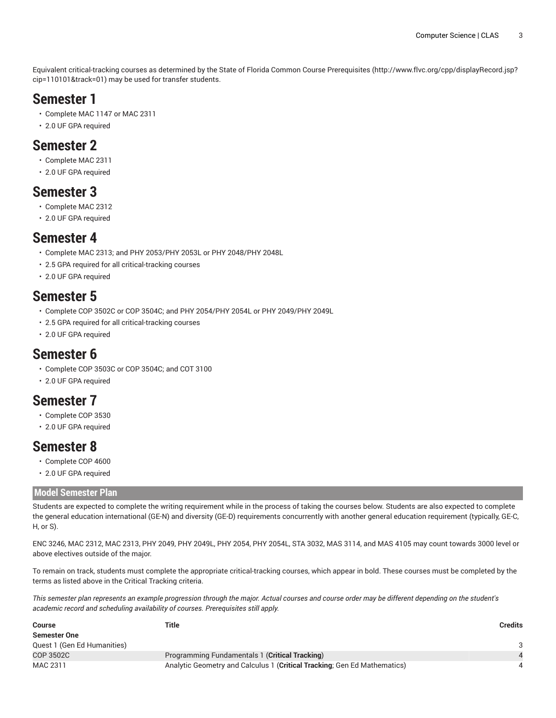Equivalent critical-tracking courses as determined by the State of Florida Common Course [Prerequisites](http://www.flvc.org/cpp/displayRecord.jsp?cip=110101&track=01) ([http://www.flvc.org/cpp/displayRecord.jsp?](http://www.flvc.org/cpp/displayRecord.jsp?cip=110101&track=01) [cip=110101&track=01\)](http://www.flvc.org/cpp/displayRecord.jsp?cip=110101&track=01) may be used for transfer students.

### **Semester 1**

- Complete MAC 1147 or MAC 2311
- 2.0 UF GPA required

### **Semester 2**

- Complete MAC 2311
- 2.0 UF GPA required

### **Semester 3**

- Complete MAC 2312
- 2.0 UF GPA required

### **Semester 4**

- Complete MAC 2313; and PHY 2053/PHY 2053L or PHY 2048/PHY 2048L
- 2.5 GPA required for all critical-tracking courses
- 2.0 UF GPA required

### **Semester 5**

- Complete COP 3502C or COP 3504C; and PHY 2054/PHY 2054L or PHY 2049/PHY 2049L
- 2.5 GPA required for all critical-tracking courses
- 2.0 UF GPA required

### **Semester 6**

- Complete COP 3503C or COP 3504C; and COT 3100
- 2.0 UF GPA required

### **Semester 7**

- Complete COP 3530
- 2.0 UF GPA required

### **Semester 8**

- Complete COP 4600
- 2.0 UF GPA required

#### **Model Semester Plan**

Students are expected to complete the writing requirement while in the process of taking the courses below. Students are also expected to complete the general education international (GE-N) and diversity (GE-D) requirements concurrently with another general education requirement (typically, GE-C, H, or S).

ENC 3246, MAC 2312, MAC 2313, PHY 2049, PHY 2049L, PHY 2054, PHY 2054L, STA 3032, MAS 3114, and MAS 4105 may count towards 3000 level or above electives outside of the major.

To remain on track, students must complete the appropriate critical-tracking courses, which appear in bold. These courses must be completed by the terms as listed above in the Critical Tracking criteria.

This semester plan represents an example progression through the major. Actual courses and course order may be different depending on the student's *academic record and scheduling availability of courses. Prerequisites still apply.*

| <b>Course</b>               | Title                                                                    | <b>Credits</b> |
|-----------------------------|--------------------------------------------------------------------------|----------------|
| <b>Semester One</b>         |                                                                          |                |
| Quest 1 (Gen Ed Humanities) |                                                                          |                |
| COP 3502C                   | Programming Fundamentals 1 (Critical Tracking)                           |                |
| MAC 2311                    | Analytic Geometry and Calculus 1 (Critical Tracking; Gen Ed Mathematics) |                |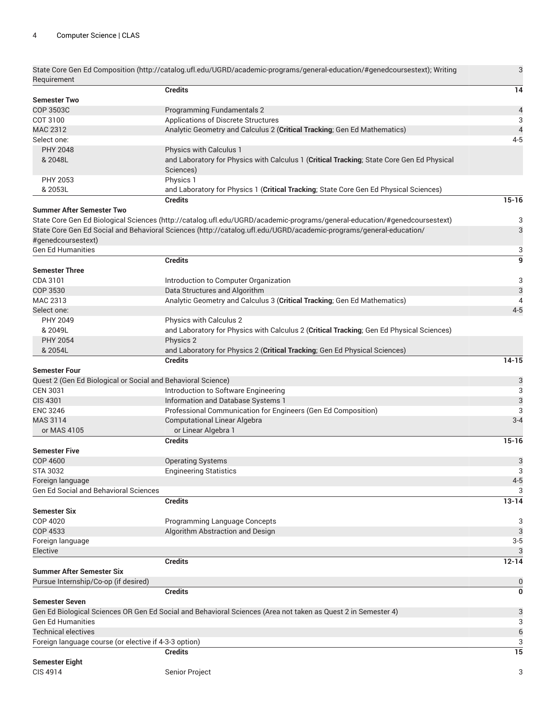| Requirement                                                  | State Core Gen Ed Composition (http://catalog.ufl.edu/UGRD/academic-programs/general-education/#genedcoursestext); Writing | 3                        |
|--------------------------------------------------------------|----------------------------------------------------------------------------------------------------------------------------|--------------------------|
|                                                              | <b>Credits</b>                                                                                                             | 14                       |
| <b>Semester Two</b>                                          |                                                                                                                            |                          |
| <b>COP 3503C</b>                                             | <b>Programming Fundamentals 2</b>                                                                                          | $\overline{\mathcal{L}}$ |
| COT 3100                                                     | Applications of Discrete Structures                                                                                        | 3                        |
| MAC 2312                                                     | Analytic Geometry and Calculus 2 (Critical Tracking; Gen Ed Mathematics)                                                   | $\overline{\mathbf{r}}$  |
| Select one:                                                  |                                                                                                                            | $4 - 5$                  |
| <b>PHY 2048</b>                                              | Physics with Calculus 1                                                                                                    |                          |
| & 2048L                                                      | and Laboratory for Physics with Calculus 1 (Critical Tracking; State Core Gen Ed Physical<br>Sciences)                     |                          |
| PHY 2053                                                     | Physics 1                                                                                                                  |                          |
| & 2053L                                                      | and Laboratory for Physics 1 (Critical Tracking; State Core Gen Ed Physical Sciences)                                      |                          |
|                                                              | <b>Credits</b>                                                                                                             | $15 - 16$                |
| <b>Summer After Semester Two</b>                             |                                                                                                                            |                          |
|                                                              | State Core Gen Ed Biological Sciences (http://catalog.ufl.edu/UGRD/academic-programs/general-education/#genedcoursestext)  | 3                        |
|                                                              | State Core Gen Ed Social and Behavioral Sciences (http://catalog.ufl.edu/UGRD/academic-programs/general-education/         | 3                        |
| #genedcoursestext)                                           |                                                                                                                            |                          |
| <b>Gen Ed Humanities</b>                                     |                                                                                                                            | 3                        |
|                                                              | <b>Credits</b>                                                                                                             | $\overline{9}$           |
|                                                              |                                                                                                                            |                          |
| <b>Semester Three</b>                                        |                                                                                                                            |                          |
| CDA 3101                                                     | Introduction to Computer Organization                                                                                      | 3                        |
| COP 3530                                                     | Data Structures and Algorithm                                                                                              | $\mathfrak{B}$           |
| MAC 2313                                                     | Analytic Geometry and Calculus 3 (Critical Tracking; Gen Ed Mathematics)                                                   | $\overline{4}$           |
| Select one:                                                  |                                                                                                                            | $4 - 5$                  |
| PHY 2049                                                     | Physics with Calculus 2                                                                                                    |                          |
| & 2049L                                                      | and Laboratory for Physics with Calculus 2 (Critical Tracking; Gen Ed Physical Sciences)                                   |                          |
| <b>PHY 2054</b>                                              | Physics 2                                                                                                                  |                          |
| & 2054L                                                      | and Laboratory for Physics 2 (Critical Tracking; Gen Ed Physical Sciences)                                                 |                          |
|                                                              | <b>Credits</b>                                                                                                             | $14 - 15$                |
| <b>Semester Four</b>                                         |                                                                                                                            |                          |
| Quest 2 (Gen Ed Biological or Social and Behavioral Science) |                                                                                                                            | 3                        |
| <b>CEN 3031</b>                                              | Introduction to Software Engineering                                                                                       | 3                        |
| <b>CIS 4301</b>                                              | Information and Database Systems 1                                                                                         | 3                        |
| <b>ENC 3246</b>                                              | Professional Communication for Engineers (Gen Ed Composition)                                                              | 3                        |
| <b>MAS 3114</b>                                              | <b>Computational Linear Algebra</b>                                                                                        | $3 - 4$                  |
| or MAS 4105                                                  | or Linear Algebra 1                                                                                                        |                          |
|                                                              | <b>Credits</b>                                                                                                             | $15 - 16$                |
| <b>Semester Five</b>                                         |                                                                                                                            |                          |
| COP 4600                                                     | <b>Operating Systems</b>                                                                                                   | 3                        |
| <b>STA 3032</b>                                              | <b>Engineering Statistics</b>                                                                                              | 3                        |
| Foreign language                                             |                                                                                                                            | $4 - 5$                  |
| <b>Gen Ed Social and Behavioral Sciences</b>                 |                                                                                                                            | 3                        |
|                                                              | <b>Credits</b>                                                                                                             | $13 - 14$                |
| Semester Six                                                 |                                                                                                                            |                          |
| COP 4020                                                     | Programming Language Concepts                                                                                              | 3                        |
| <b>COP 4533</b>                                              | Algorithm Abstraction and Design                                                                                           | 3                        |
| Foreign language                                             |                                                                                                                            | $3-5$                    |
| Elective                                                     |                                                                                                                            | 3                        |
|                                                              | <b>Credits</b>                                                                                                             | $12 - 14$                |
| Summer After Semester Six                                    |                                                                                                                            |                          |
| Pursue Internship/Co-op (if desired)                         |                                                                                                                            |                          |
|                                                              |                                                                                                                            | $\bf{0}$                 |
|                                                              | <b>Credits</b>                                                                                                             | $\bf{0}$                 |
| <b>Semester Seven</b>                                        |                                                                                                                            |                          |
|                                                              | Gen Ed Biological Sciences OR Gen Ed Social and Behavioral Sciences (Area not taken as Quest 2 in Semester 4)              | 3                        |
| Gen Ed Humanities                                            |                                                                                                                            | 3                        |
| Technical electives                                          |                                                                                                                            | $\boldsymbol{6}$         |
| Foreign language course (or elective if 4-3-3 option)        |                                                                                                                            | 3                        |
|                                                              | <b>Credits</b>                                                                                                             | 15                       |
| <b>Semester Eight</b>                                        |                                                                                                                            |                          |
| CIS 4914                                                     | Senior Project                                                                                                             | 3                        |